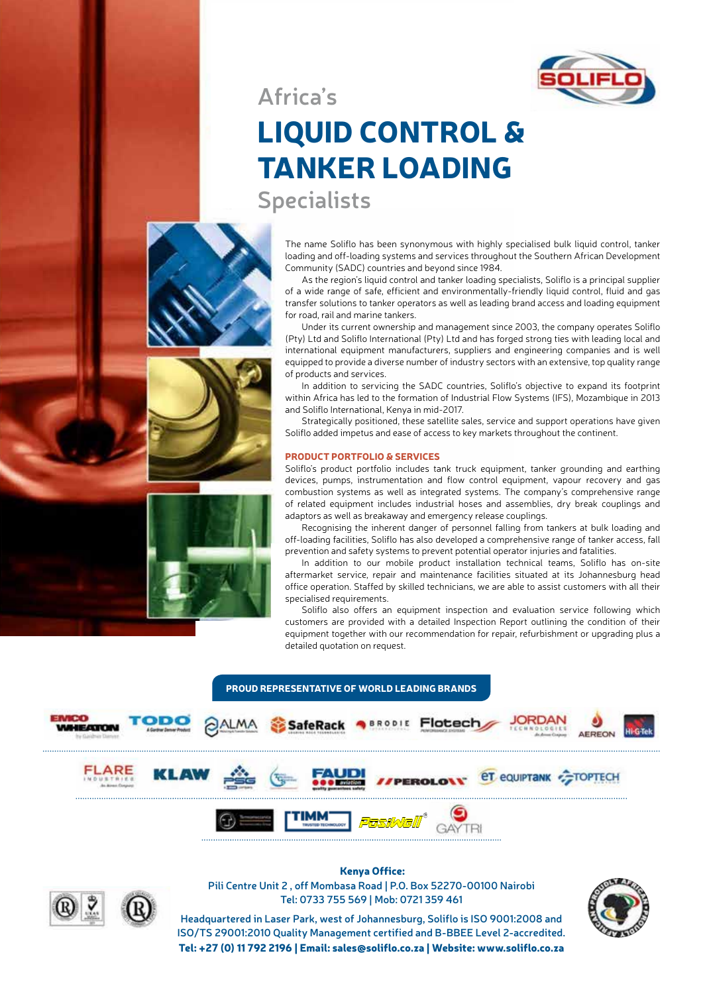

**Africa's**

## LIQUID CONTROL & TANKER LOADING

**Specialists**

The name Soliflo has been synonymous with highly specialised bulk liquid control, tanker loading and off-loading systems and services throughout the Southern African Development Community (SADC) countries and beyond since 1984.

As the region's liquid control and tanker loading specialists, Soliflo is a principal supplier of a wide range of safe, efficient and environmentally-friendly liquid control, fluid and gas transfer solutions to tanker operators as well as leading brand access and loading equipment for road, rail and marine tankers.

Under its current ownership and management since 2003, the company operates Soliflo (Pty) Ltd and Soliflo International (Pty) Ltd and has forged strong ties with leading local and international equipment manufacturers, suppliers and engineering companies and is well equipped to provide a diverse number of industry sectors with an extensive, top quality range of products and services.

In addition to servicing the SADC countries, Soliflo's objective to expand its footprint within Africa has led to the formation of Industrial Flow Systems (IFS), Mozambique in 2013 and Soliflo International, Kenya in mid-2017.

Strategically positioned, these satellite sales, service and support operations have given Soliflo added impetus and ease of access to key markets throughout the continent.

## PRODUCT PORTFOLIO & SERVICES

Soliflo's product portfolio includes tank truck equipment, tanker grounding and earthing devices, pumps, instrumentation and flow control equipment, vapour recovery and gas combustion systems as well as integrated systems. The company's comprehensive range of related equipment includes industrial hoses and assemblies, dry break couplings and adaptors as well as breakaway and emergency release couplings.

Recognising the inherent danger of personnel falling from tankers at bulk loading and off-loading facilities, Soliflo has also developed a comprehensive range of tanker access, fall prevention and safety systems to prevent potential operator injuries and fatalities.

In addition to our mobile product installation technical teams, Soliflo has on-site aftermarket service, repair and maintenance facilities situated at its Johannesburg head office operation. Staffed by skilled technicians, we are able to assist customers with all their specialised requirements.

Soliflo also offers an equipment inspection and evaluation service following which customers are provided with a detailed Inspection Report outlining the condition of their equipment together with our recommendation for repair, refurbishment or upgrading plus a detailed quotation on request.





 Kenya Office: **Pili Centre Unit 2 , off Mombasa Road | P.O. Box 52270-00100 Nairobi Tel: 0733 755 569 | Mob: 0721 359 461**

**Headquartered in Laser Park, west of Johannesburg, Soliflo is ISO 9001:2008 and ISO/TS 29001:2010 Quality Management certified and B-BBEE Level 2-accredited.** Tel: +27 (0) 11 792 2196 | Email: sales@soliflo.co.za | Website: www.soliflo.co.za